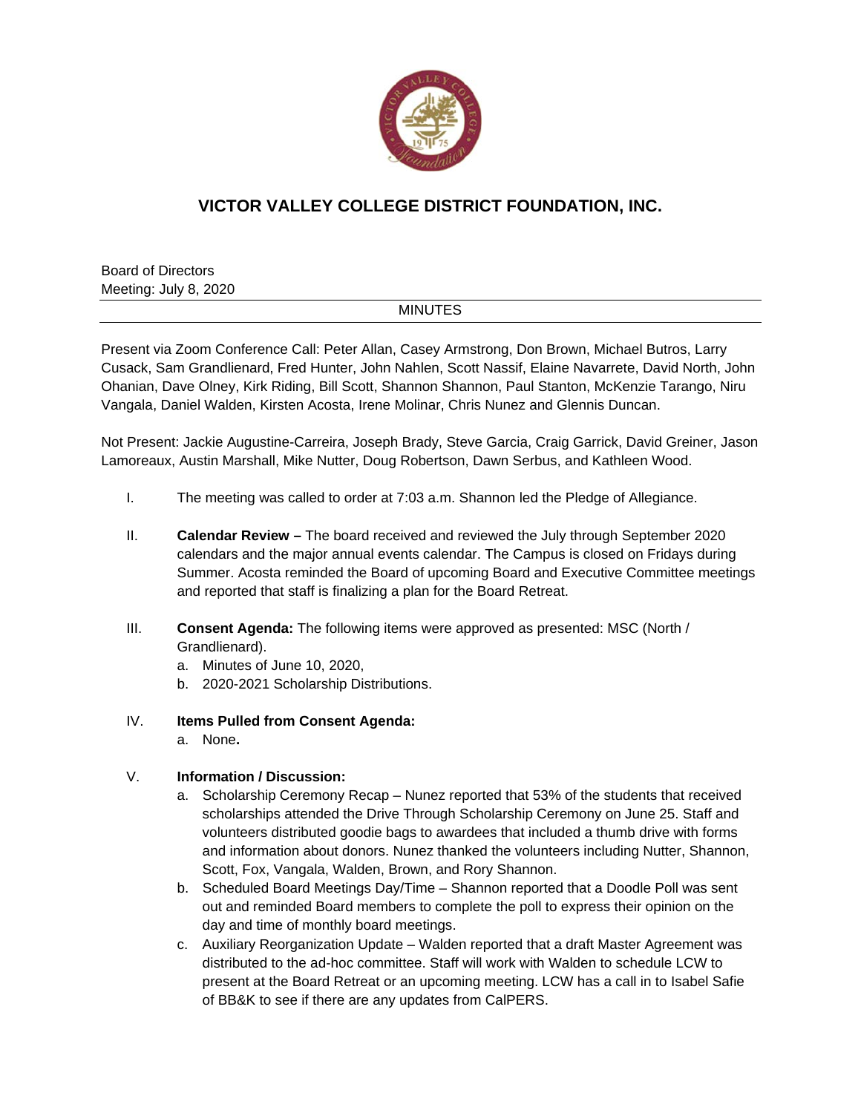

## **VICTOR VALLEY COLLEGE DISTRICT FOUNDATION, INC.**

Board of Directors Meeting: July 8, 2020

## MINUTES

Present via Zoom Conference Call: Peter Allan, Casey Armstrong, Don Brown, Michael Butros, Larry Cusack, Sam Grandlienard, Fred Hunter, John Nahlen, Scott Nassif, Elaine Navarrete, David North, John Ohanian, Dave Olney, Kirk Riding, Bill Scott, Shannon Shannon, Paul Stanton, McKenzie Tarango, Niru Vangala, Daniel Walden, Kirsten Acosta, Irene Molinar, Chris Nunez and Glennis Duncan.

Not Present: Jackie Augustine-Carreira, Joseph Brady, Steve Garcia, Craig Garrick, David Greiner, Jason Lamoreaux, Austin Marshall, Mike Nutter, Doug Robertson, Dawn Serbus, and Kathleen Wood.

- I. The meeting was called to order at 7:03 a.m. Shannon led the Pledge of Allegiance.
- II. **Calendar Review** The board received and reviewed the July through September 2020 calendars and the major annual events calendar. The Campus is closed on Fridays during Summer. Acosta reminded the Board of upcoming Board and Executive Committee meetings and reported that staff is finalizing a plan for the Board Retreat.
- III. **Consent Agenda:** The following items were approved as presented: MSC (North / Grandlienard).
	- a. Minutes of June 10, 2020,
	- b. 2020-2021 Scholarship Distributions.
- IV. **Items Pulled from Consent Agenda:** 
	- a. None**.**

## V. **Information / Discussion:**

- a. Scholarship Ceremony Recap Nunez reported that 53% of the students that received scholarships attended the Drive Through Scholarship Ceremony on June 25. Staff and volunteers distributed goodie bags to awardees that included a thumb drive with forms and information about donors. Nunez thanked the volunteers including Nutter, Shannon, Scott, Fox, Vangala, Walden, Brown, and Rory Shannon.
- b. Scheduled Board Meetings Day/Time Shannon reported that a Doodle Poll was sent out and reminded Board members to complete the poll to express their opinion on the day and time of monthly board meetings.
- c. Auxiliary Reorganization Update Walden reported that a draft Master Agreement was distributed to the ad-hoc committee. Staff will work with Walden to schedule LCW to present at the Board Retreat or an upcoming meeting. LCW has a call in to Isabel Safie of BB&K to see if there are any updates from CalPERS.